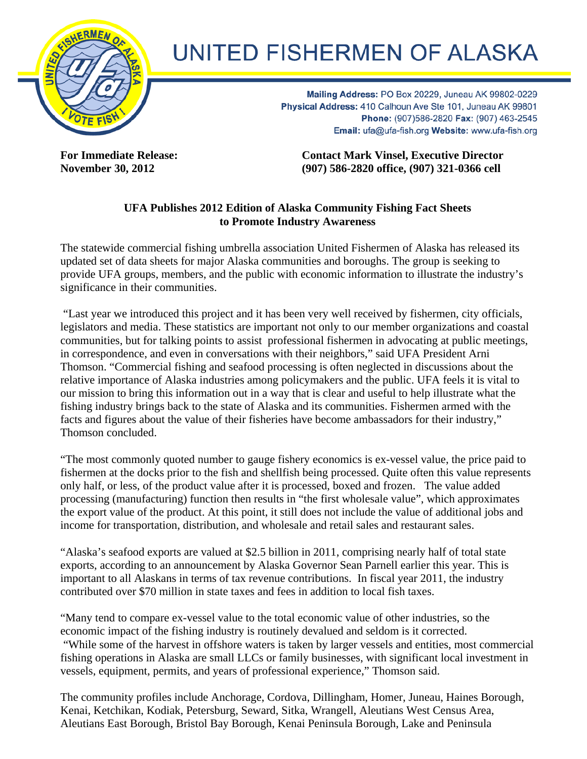

## **UNITED FISHERMEN OF ALASKA**

Mailing Address: PO Box 20229, Juneau AK 99802-0229 Physical Address: 410 Calhoun Ave Ste 101, Juneau AK 99801 Phone: (907)586-2820 Fax: (907) 463-2545 Email: ufa@ufa-fish.org Website: www.ufa-fish.org

**For Immediate Release: Contact Mark Vinsel, Executive Director November 30, 2012 (907) 586-2820 office, (907) 321-0366 cell** 

## **UFA Publishes 2012 Edition of Alaska Community Fishing Fact Sheets to Promote Industry Awareness**

The statewide commercial fishing umbrella association United Fishermen of Alaska has released its updated set of data sheets for major Alaska communities and boroughs. The group is seeking to provide UFA groups, members, and the public with economic information to illustrate the industry's significance in their communities.

 "Last year we introduced this project and it has been very well received by fishermen, city officials, legislators and media. These statistics are important not only to our member organizations and coastal communities, but for talking points to assist professional fishermen in advocating at public meetings, in correspondence, and even in conversations with their neighbors," said UFA President Arni Thomson. "Commercial fishing and seafood processing is often neglected in discussions about the relative importance of Alaska industries among policymakers and the public. UFA feels it is vital to our mission to bring this information out in a way that is clear and useful to help illustrate what the fishing industry brings back to the state of Alaska and its communities. Fishermen armed with the facts and figures about the value of their fisheries have become ambassadors for their industry," Thomson concluded.

"The most commonly quoted number to gauge fishery economics is ex-vessel value, the price paid to fishermen at the docks prior to the fish and shellfish being processed. Quite often this value represents only half, or less, of the product value after it is processed, boxed and frozen. The value added processing (manufacturing) function then results in "the first wholesale value", which approximates the export value of the product. At this point, it still does not include the value of additional jobs and income for transportation, distribution, and wholesale and retail sales and restaurant sales.

"Alaska's seafood exports are valued at \$2.5 billion in 2011, comprising nearly half of total state exports, according to an announcement by Alaska Governor Sean Parnell earlier this year. This is important to all Alaskans in terms of tax revenue contributions. In fiscal year 2011, the industry contributed over \$70 million in state taxes and fees in addition to local fish taxes.

"Many tend to compare ex-vessel value to the total economic value of other industries, so the economic impact of the fishing industry is routinely devalued and seldom is it corrected. "While some of the harvest in offshore waters is taken by larger vessels and entities, most commercial fishing operations in Alaska are small LLCs or family businesses, with significant local investment in vessels, equipment, permits, and years of professional experience," Thomson said.

The community profiles include Anchorage, Cordova, Dillingham, Homer, Juneau, Haines Borough, Kenai, Ketchikan, Kodiak, Petersburg, Seward, Sitka, Wrangell, Aleutians West Census Area, Aleutians East Borough, Bristol Bay Borough, Kenai Peninsula Borough, Lake and Peninsula